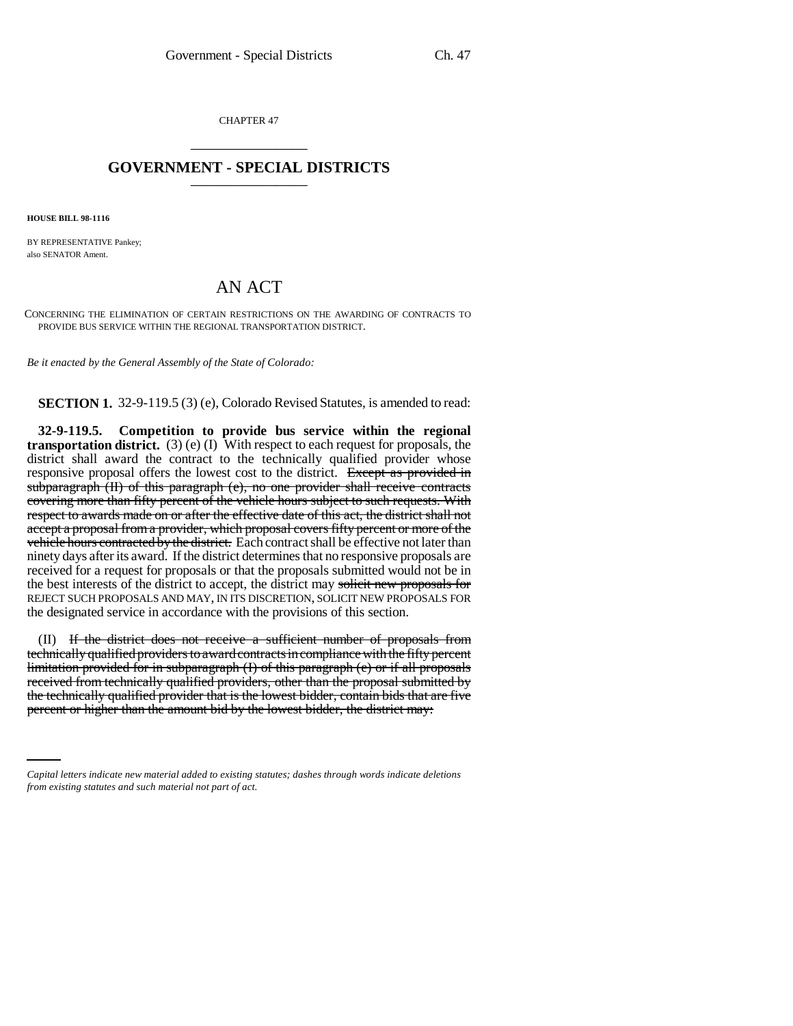CHAPTER 47 \_\_\_\_\_\_\_\_\_\_\_\_\_\_\_

## **GOVERNMENT - SPECIAL DISTRICTS** \_\_\_\_\_\_\_\_\_\_\_\_\_\_\_

**HOUSE BILL 98-1116**

BY REPRESENTATIVE Pankey; also SENATOR Ament.

## AN ACT

CONCERNING THE ELIMINATION OF CERTAIN RESTRICTIONS ON THE AWARDING OF CONTRACTS TO PROVIDE BUS SERVICE WITHIN THE REGIONAL TRANSPORTATION DISTRICT.

*Be it enacted by the General Assembly of the State of Colorado:*

**SECTION 1.** 32-9-119.5 (3) (e), Colorado Revised Statutes, is amended to read:

**32-9-119.5. Competition to provide bus service within the regional transportation district.** (3) (e) (I) With respect to each request for proposals, the district shall award the contract to the technically qualified provider whose responsive proposal offers the lowest cost to the district. Except as provided in subparagraph (II) of this paragraph (e), no one provider shall receive contracts covering more than fifty percent of the vehicle hours subject to such requests. With respect to awards made on or after the effective date of this act, the district shall not accept a proposal from a provider, which proposal covers fifty percent or more of the vehicle hours contracted by the district. Each contract shall be effective not later than ninety days after its award. If the district determines that no responsive proposals are received for a request for proposals or that the proposals submitted would not be in the best interests of the district to accept, the district may solicit new proposals for REJECT SUCH PROPOSALS AND MAY, IN ITS DISCRETION, SOLICIT NEW PROPOSALS FOR the designated service in accordance with the provisions of this section.

the technically qualified provider that is the lowest bidder, contain bids that are five (II) If the district does not receive a sufficient number of proposals from technically qualified providers to award contracts in compliance with the fifty percent limitation provided for in subparagraph (I) of this paragraph (e) or if all proposals received from technically qualified providers, other than the proposal submitted by percent or higher than the amount bid by the lowest bidder, the district may:

*Capital letters indicate new material added to existing statutes; dashes through words indicate deletions from existing statutes and such material not part of act.*